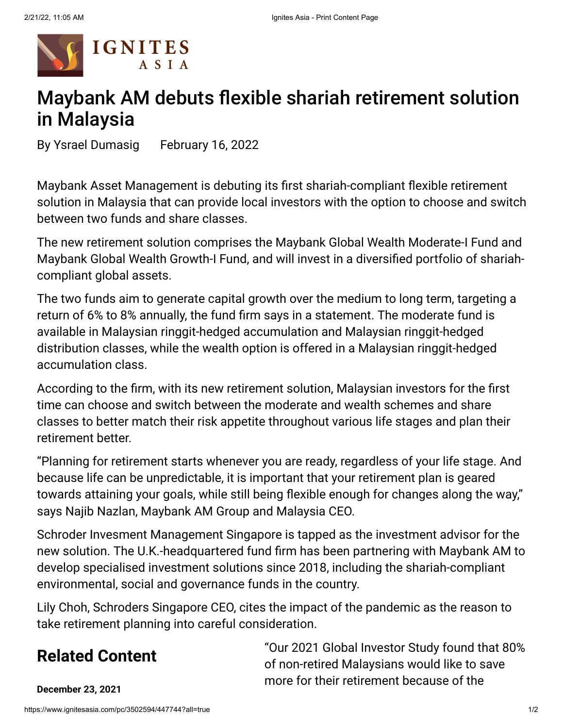

## Maybank AM debuts flexible shariah retirement solution in Malaysia

By [Ysrael Dumasig](https://www.ignitesasia.com/email-contributor/126243/3502594/447744?from=%2Fpc%2F3502594%2F447744%3Fall%3Dtrue) February 16, 2022

[Maybank Asset Management](https://www.ignitesasia.com/search/search/advanced?referrer_module=companyTag&q=%22Maybank+Asset+Management%22) is debuting its first shariah-compliant flexible retirement solution in Malaysia that can provide local investors with the option to choose and switch between two funds and share classes.

The new retirement solution comprises the Maybank Global Wealth Moderate-I Fund and Maybank Global Wealth Growth-I Fund, and will invest in a diversified portfolio of shariahcompliant global assets.

The two funds aim to generate capital growth over the medium to long term, targeting a return of 6% to 8% annually, the fund firm says in a statement. The moderate fund is available in Malaysian ringgit-hedged accumulation and Malaysian ringgit-hedged distribution classes, while the wealth option is offered in a Malaysian ringgit-hedged accumulation class.

According to the firm, with its new retirement solution, Malaysian investors for the first time can choose and switch between the moderate and wealth schemes and share classes to better match their risk appetite throughout various life stages and plan their retirement better.

"Planning for retirement starts whenever you are ready, regardless of your life stage. And because life can be unpredictable, it is important that your retirement plan is geared towards attaining your goals, while still being flexible enough for changes along the way," says Najib Nazlan, Maybank AM Group and Malaysia CEO.

[Schroder](https://www.ignitesasia.com/search/search/advanced?referrer_module=companyTag&q=%22Schroder%22) Invesment Management Singapore is tapped as the investment advisor for the new solution. The U.K.-headquartered fund firm has been partnering with Maybank AM to develop specialised investment solutions since 2018, including the shariah-compliant environmental, social and governance funds in the country.

Lily Choh, [Schroders](https://www.ignitesasia.com/search/search/advanced?referrer_module=companyTag&q=%22Schroders%22) Singapore CEO, cites the impact of the pandemic as the reason to take retirement planning into careful consideration.

## **Related Content**

"Our 2021 Global Investor Study found that 80% of non-retired Malaysians would like to save more for their retirement because of the

**December 23, 2021**